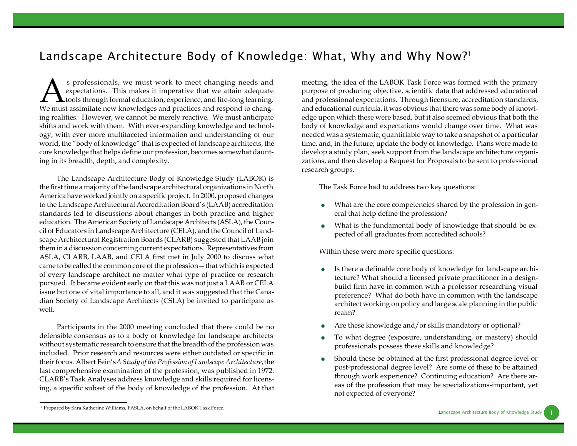## *Landscape Architecture Body of Knowledge: What, Why and Why Now?<sup>1</sup>*

Superstations are must work to meet changing needs and expectations. This makes it imperative that we attain adequate tools through formal education, experience, and life-long learning. We must assimilate new knowledges an s professionals, we must work to meet changing needs and expectations. This makes it imperative that we attain adequate **L** tools through formal education, experience, and life-long learning. ing realities. However, we cannot be merely reactive. We must anticipate shifts and work with them. With ever-expanding knowledge and technology, with ever more multifaceted information and understanding of our world, the "body of knowledge" that is expected of landscape architects, the core knowledge that helps define our profession, becomes somewhat daunting in its breadth, depth, and complexity.

The Landscape Architecture Body of Knowledge Study (LABOK) is the first time a majority of the landscape architectural organizations in North America have worked jointly on a specific project. In 2000, proposed changes to the Landscape Architectural Accreditation Board's (LAAB) accreditation standards led to discussions about changes in both practice and higher education. The American Society of Landscape Architects (ASLA), the Council of Educators in Landscape Architecture (CELA), and the Council of Landscape Architectural Registration Boards (CLARB) suggested that LAAB join them in a discussion concerning current expectations. Representatives from ASLA, CLARB, LAAB, and CELA first met in July 2000 to discuss what came to be called the common core of the profession—that which is expected of every landscape architect no matter what type of practice or research pursued. It became evident early on that this was not just a LAAB or CELA issue but one of vital importance to all, and it was suggested that the Canadian Society of Landscape Architects (CSLA) be invited to participate as well.

Participants in the 2000 meeting concluded that there could be no defensible consensus as to a body of knowledge for landscape architects without systematic research to ensure that the breadth of the profession was included. Prior research and resources were either outdated or specific in their focus. Albert Fein's *A Study of the Profession of Landscape Architecture*, the last comprehensive examination of the profession, was published in 1972. CLARB's Task Analyses address knowledge and skills required for licensing, a specific subset of the body of knowledge of the profession. At that meeting, the idea of the LABOK Task Force was formed with the primary purpose of producing objective, scientific data that addressed educational and professional expectations. Through licensure, accreditation standards, and educational curricula, it was obvious that there was some body of knowledge upon which these were based, but it also seemed obvious that both the body of knowledge and expectations would change over time. What was needed was a systematic, quantifiable way to take a snapshot of a particular time, and, in the future, update the body of knowledge. Plans were made to develop a study plan, seek support from the landscape architecture organizations, and then develop a Request for Proposals to be sent to professional research groups.

The Task Force had to address two key questions:

- What are the core competencies shared by the profession in general that help define the profession?
- What is the fundamental body of knowledge that should be expected of all graduates from accredited schools?

Within these were more specific questions:

- Is there a definable core body of knowledge for landscape architecture? What should a licensed private practitioner in a designbuild firm have in common with a professor researching visual preference? What do both have in common with the landscape architect working on policy and large scale planning in the public realm?
- Are these knowledge and/or skills mandatory or optional?
- To what degree (exposure, understanding, or mastery) should professionals possess these skills and knowledge?
- Should these be obtained at the first professional degree level or post-professional degree level? Are some of these to be attained through work experience? Continuing education? Are there areas of the profession that may be specializations-important, yet not expected of everyone?

<sup>1</sup> Prepared by Sara Katherine Williams, FASLA, on behalf of the LABOK Task Force.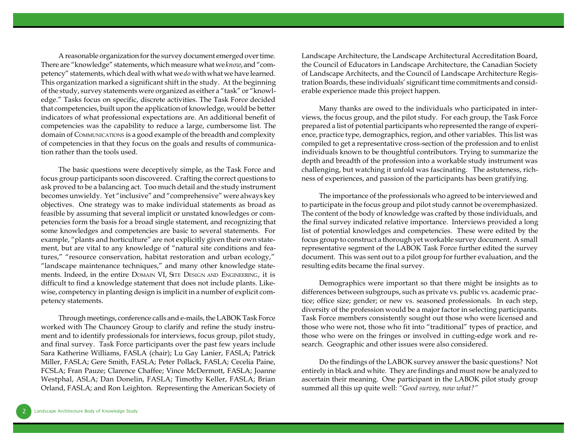A reasonable organization for the survey document emerged over time. There are "knowledge" statements, which measure what we *know*, and "competency" statements, which deal with what we *do* with what we have learned. This organization marked a significant shift in the study. At the beginning of the study, survey statements were organized as either a "task" or "knowledge." Tasks focus on specific, discrete activities. The Task Force decided that competencies, built upon the application of knowledge, would be better indicators of what professional expectations are. An additional benefit of competencies was the capability to reduce a large, cumbersome list. The domain of COMMUNICATIONS is a good example of the breadth and complexity of competencies in that they focus on the goals and results of communication rather than the tools used.

The basic questions were deceptively simple, as the Task Force and focus group participants soon discovered. Crafting the correct questions to ask proved to be a balancing act. Too much detail and the study instrument becomes unwieldy. Yet "inclusive" and "comprehensive" were always key objectives. One strategy was to make individual statements as broad as feasible by assuming that several implicit or unstated knowledges or competencies form the basis for a broad single statement, and recognizing that some knowledges and competencies are basic to several statements. For example, "plants and horticulture" are not explicitly given their own statement, but are vital to any knowledge of "natural site conditions and features," "resource conservation, habitat restoration and urban ecology," "landscape maintenance techniques," and many other knowledge statements. Indeed, in the entire DOMAIN VI, SITE DESIGN AND ENGINEERING, it is difficult to find a knowledge statement that does not include plants. Likewise, competency in planting design is implicit in a number of explicit competency statements.

Through meetings, conference calls and e-mails, the LABOK Task Force worked with The Chauncey Group to clarify and refine the study instrument and to identify professionals for interviews, focus group, pilot study, and final survey. Task Force participants over the past few years include Sara Katherine Williams, FASLA (chair); Lu Gay Lanier, FASLA; Patrick Miller, FASLA; Gere Smith, FASLA; Peter Pollack, FASLA; Cecelia Paine, FCSLA; Fran Pauze; Clarence Chaffee; Vince McDermott, FASLA; Joanne Westphal, ASLA; Dan Donelin, FASLA; Timothy Keller, FASLA; Brian Orland, FASLA; and Ron Leighton. Representing the American Society of Landscape Architecture, the Landscape Architectural Accreditation Board, the Council of Educators in Landscape Architecture, the Canadian Society of Landscape Architects, and the Council of Landscape Architecture Registration Boards, these individuals' significant time commitments and considerable experience made this project happen.

Many thanks are owed to the individuals who participated in interviews, the focus group, and the pilot study. For each group, the Task Force prepared a list of potential participants who represented the range of experience, practice type, demographics, region, and other variables. This list was compiled to get a representative cross-section of the profession and to enlist individuals known to be thoughtful contributors. Trying to summarize the depth and breadth of the profession into a workable study instrument was challenging, but watching it unfold was fascinating. The astuteness, richness of experiences, and passion of the participants has been gratifying.

The importance of the professionals who agreed to be interviewed and to participate in the focus group and pilot study cannot be overemphasized. The content of the body of knowledge was crafted by those individuals, and the final survey indicated relative importance. Interviews provided a long list of potential knowledges and competencies. These were edited by the focus group to construct a thorough yet workable survey document. A small representative segment of the LABOK Task Force further edited the survey document. This was sent out to a pilot group for further evaluation, and the resulting edits became the final survey.

Demographics were important so that there might be insights as to differences between subgroups, such as private vs. public vs. academic practice; office size; gender; or new vs. seasoned professionals. In each step, diversity of the profession would be a major factor in selecting participants. Task Force members consistently sought out those who were licensed and those who were not, those who fit into "traditional" types of practice, and those who were on the fringes or involved in cutting-edge work and research. Geographic and other issues were also considered.

Do the findings of the LABOK survey answer the basic questions? Not entirely in black and white. They are findings and must now be analyzed to ascertain their meaning. One participant in the LABOK pilot study group summed all this up quite well: *"Good survey, now what?"*